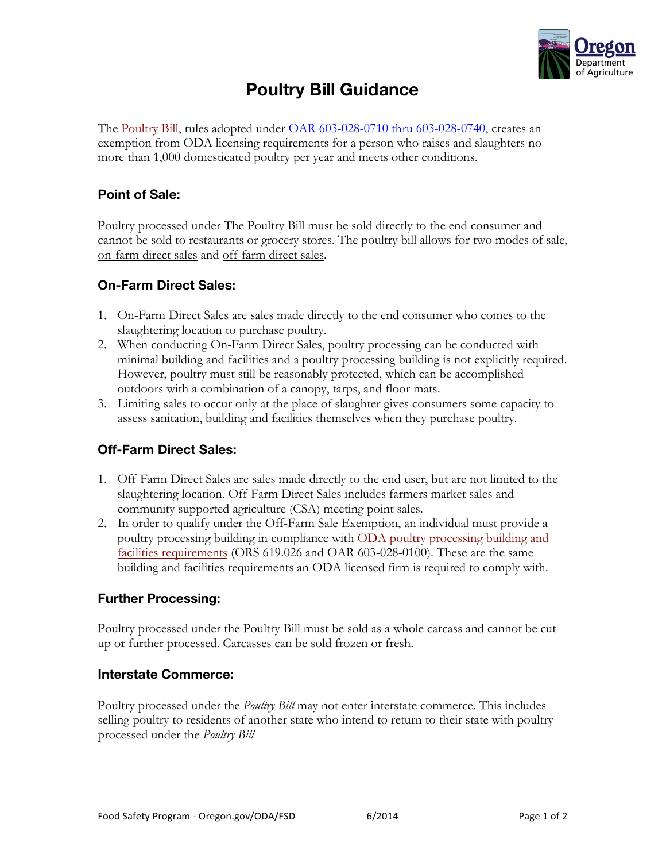

# **Poultry Bill Guidance**

The Poultry Bill, rules adopted under OAR 603-028-0710 thru 603-028-0740, creates an exemption from ODA licensing requirements for a person who raises and slaughters no more than 1,000 domesticated poultry per year and meets other conditions.

### **Point of Sale:**

Poultry processed under The Poultry Bill must be sold directly to the end consumer and cannot be sold to restaurants or grocery stores. The poultry bill allows for two modes of sale, on-farm direct sales and off-farm direct sales.

#### **On-Farm Direct Sales:**

- 1. On-Farm Direct Sales are sales made directly to the end consumer who comes to the slaughtering location to purchase poultry.
- 2. When conducting On-Farm Direct Sales, poultry processing can be conducted with minimal building and facilities and a poultry processing building is not explicitly required. However, poultry must still be reasonably protected, which can be accomplished outdoors with a combination of a canopy, tarps, and floor mats.
- 3. Limiting sales to occur only at the place of slaughter gives consumers some capacity to assess sanitation, building and facilities themselves when they purchase poultry.

## **Off-Farm Direct Sales:**

- 1. Off-Farm Direct Sales are sales made directly to the end user, but are not limited to the slaughtering location. Off-Farm Direct Sales includes farmers market sales and community supported agriculture (CSA) meeting point sales.
- 2. In order to qualify under the Off-Farm Sale Exemption, an individual must provide a poultry processing building in compliance with ODA poultry processing building and facilities requirements (ORS 619.026 and OAR 603-028-0100). These are the same building and facilities requirements an ODA licensed firm is required to comply with.

#### **Further Processing:**

Poultry processed under the Poultry Bill must be sold as a whole carcass and cannot be cut up or further processed. Carcasses can be sold frozen or fresh.

#### **Interstate Commerce:**

Poultry processed under the *Poultry Bill* may not enter interstate commerce. This includes selling poultry to residents of another state who intend to return to their state with poultry processed under the *Poultry Bill*